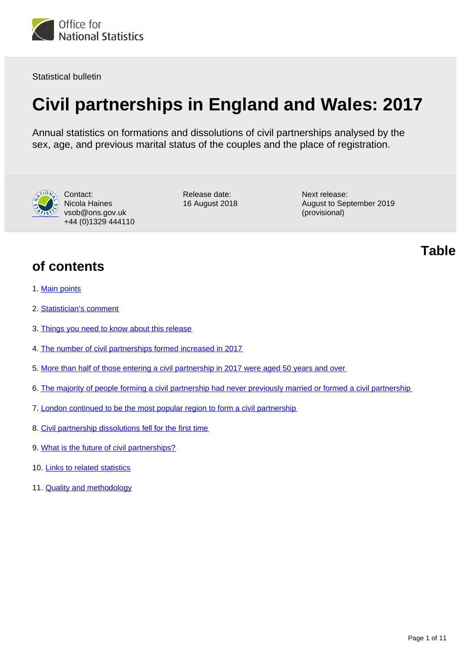

Statistical bulletin

# **Civil partnerships in England and Wales: 2017**

Annual statistics on formations and dissolutions of civil partnerships analysed by the sex, age, and previous marital status of the couples and the place of registration.



Contact: Nicola Haines vsob@ons.gov.uk +44 (0)1329 444110 Release date: 16 August 2018 Next release: August to September 2019 (provisional)

### **of contents**

- 1. [Main points](#page-1-0)
- 2. [Statistician's comment](#page-1-1)
- 3. [Things you need to know about this release](#page-1-2)
- 4. [The number of civil partnerships formed increased in 2017](#page-2-0)
- 5. [More than half of those entering a civil partnership in 2017 were aged 50 years and over](#page-4-0)
- 6. [The majority of people forming a civil partnership had never previously married or formed a civil partnership](#page-6-0)
- 7. [London continued to be the most popular region to form a civil partnership](#page-7-0)
- 8. [Civil partnership dissolutions fell for the first time](#page-7-1)
- 9. [What is the future of civil partnerships?](#page-9-0)
- 10. [Links to related statistics](#page-10-0)
- 11. [Quality and methodology](#page-10-1)

**Table**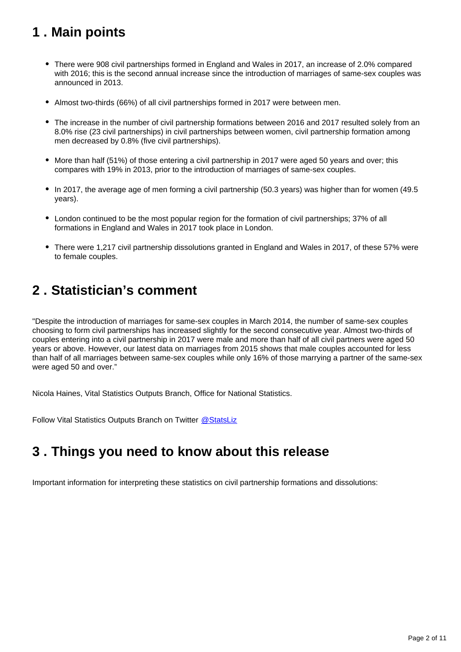# <span id="page-1-0"></span>**1 . Main points**

- There were 908 civil partnerships formed in England and Wales in 2017, an increase of 2.0% compared with 2016; this is the second annual increase since the introduction of marriages of same-sex couples was announced in 2013.
- Almost two-thirds (66%) of all civil partnerships formed in 2017 were between men.
- The increase in the number of civil partnership formations between 2016 and 2017 resulted solely from an 8.0% rise (23 civil partnerships) in civil partnerships between women, civil partnership formation among men decreased by 0.8% (five civil partnerships).
- More than half (51%) of those entering a civil partnership in 2017 were aged 50 years and over; this compares with 19% in 2013, prior to the introduction of marriages of same-sex couples.
- In 2017, the average age of men forming a civil partnership (50.3 years) was higher than for women (49.5) years).
- London continued to be the most popular region for the formation of civil partnerships; 37% of all formations in England and Wales in 2017 took place in London.
- There were 1,217 civil partnership dissolutions granted in England and Wales in 2017, of these 57% were to female couples.

### <span id="page-1-1"></span>**2 . Statistician's comment**

"Despite the introduction of marriages for same-sex couples in March 2014, the number of same-sex couples choosing to form civil partnerships has increased slightly for the second consecutive year. Almost two-thirds of couples entering into a civil partnership in 2017 were male and more than half of all civil partners were aged 50 years or above. However, our latest data on marriages from 2015 shows that male couples accounted for less than half of all marriages between same-sex couples while only 16% of those marrying a partner of the same-sex were aged 50 and over."

Nicola Haines, Vital Statistics Outputs Branch, Office for National Statistics.

Follow Vital Statistics Outputs Branch on Twitter @ StatsLiz

# <span id="page-1-2"></span>**3 . Things you need to know about this release**

Important information for interpreting these statistics on civil partnership formations and dissolutions: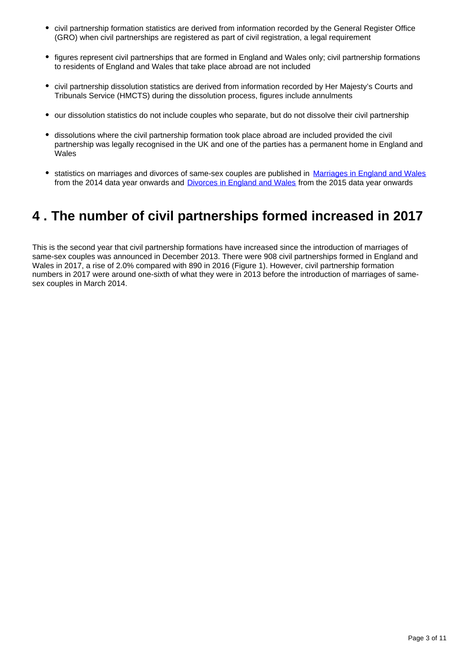- civil partnership formation statistics are derived from information recorded by the General Register Office (GRO) when civil partnerships are registered as part of civil registration, a legal requirement
- figures represent civil partnerships that are formed in England and Wales only; civil partnership formations to residents of England and Wales that take place abroad are not included
- civil partnership dissolution statistics are derived from information recorded by Her Majesty's Courts and Tribunals Service (HMCTS) during the dissolution process, figures include annulments
- our dissolution statistics do not include couples who separate, but do not dissolve their civil partnership
- dissolutions where the civil partnership formation took place abroad are included provided the civil partnership was legally recognised in the UK and one of the parties has a permanent home in England and **Wales**
- statistics on marriages and divorces of same-sex couples are published in [Marriages in England and Wales](https://www.ons.gov.uk/peoplepopulationandcommunity/birthsdeathsandmarriages/marriagecohabitationandcivilpartnerships/bulletins/marriagesinenglandandwalesprovisional/previousReleases) from the 2014 data year onwards and [Divorces in England and Wales](https://www.ons.gov.uk/peoplepopulationandcommunity/birthsdeathsandmarriages/divorce/datasets/divorcesinenglandandwales) from the 2015 data year onwards

# <span id="page-2-0"></span>**4 . The number of civil partnerships formed increased in 2017**

This is the second year that civil partnership formations have increased since the introduction of marriages of same-sex couples was announced in December 2013. There were 908 civil partnerships formed in England and Wales in 2017, a rise of 2.0% compared with 890 in 2016 (Figure 1). However, civil partnership formation numbers in 2017 were around one-sixth of what they were in 2013 before the introduction of marriages of samesex couples in March 2014.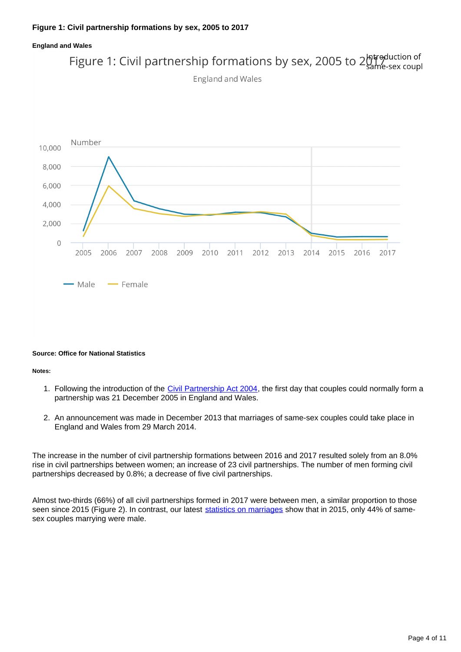### **Figure 1: Civil partnership formations by sex, 2005 to 2017**

### **England and Wales** Figure 1: Civil partnership formations by sex, 2005 to 2 https duction of **England and Wales** Number 10,000 8,000 6,000 4,000 2,000  $\mathbf 0$ 2006 2007 2008 2009 2010 2011 2012 2005 2013 2014 2015 2016 2017 - Male - Female

#### **Source: Office for National Statistics**

#### **Notes:**

- 1. Following the introduction of the *Civil Partnership Act 2004*, the first day that couples could normally form a partnership was 21 December 2005 in England and Wales.
- 2. An announcement was made in December 2013 that marriages of same-sex couples could take place in England and Wales from 29 March 2014.

The increase in the number of civil partnership formations between 2016 and 2017 resulted solely from an 8.0% rise in civil partnerships between women; an increase of 23 civil partnerships. The number of men forming civil partnerships decreased by 0.8%; a decrease of five civil partnerships.

Almost two-thirds (66%) of all civil partnerships formed in 2017 were between men, a similar proportion to those seen since 2015 (Figure 2). In contrast, our latest [statistics on marriages](https://www.ons.gov.uk/peoplepopulationandcommunity/birthsdeathsandmarriages/marriagecohabitationandcivilpartnerships/bulletins/marriagesinenglandandwalesprovisional/previousReleases) show that in 2015, only 44% of samesex couples marrying were male.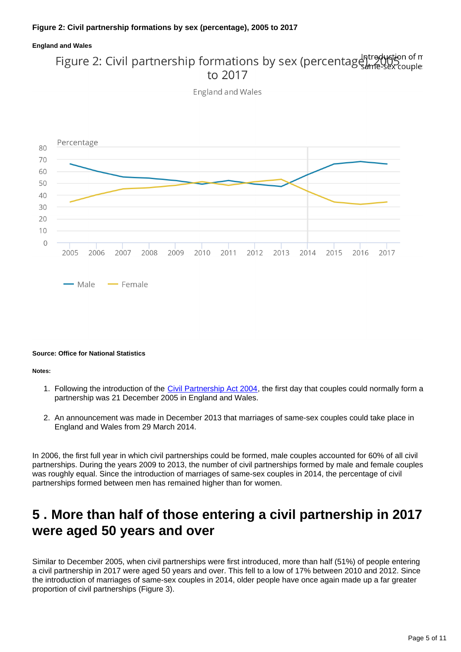### **Figure 2: Civil partnership formations by sex (percentage), 2005 to 2017**

### **England and Wales**

# Figure 2: Civil partnership formations by sex (percentage) Intreduction of m to 2017

**England and Wales** 



#### **Source: Office for National Statistics**

#### **Notes:**

- 1. Following the introduction of the *Civil Partnership Act 2004*, the first day that couples could normally form a partnership was 21 December 2005 in England and Wales.
- 2. An announcement was made in December 2013 that marriages of same-sex couples could take place in England and Wales from 29 March 2014.

In 2006, the first full year in which civil partnerships could be formed, male couples accounted for 60% of all civil partnerships. During the years 2009 to 2013, the number of civil partnerships formed by male and female couples was roughly equal. Since the introduction of marriages of same-sex couples in 2014, the percentage of civil partnerships formed between men has remained higher than for women.

## <span id="page-4-0"></span>**5 . More than half of those entering a civil partnership in 2017 were aged 50 years and over**

Similar to December 2005, when civil partnerships were first introduced, more than half (51%) of people entering a civil partnership in 2017 were aged 50 years and over. This fell to a low of 17% between 2010 and 2012. Since the introduction of marriages of same-sex couples in 2014, older people have once again made up a far greater proportion of civil partnerships (Figure 3).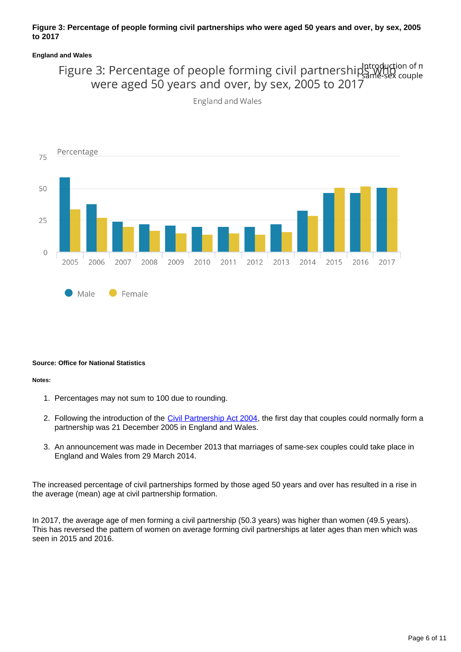### **Figure 3: Percentage of people forming civil partnerships who were aged 50 years and over, by sex, 2005 to 2017**

### **England and Wales**

# Figure 3: Percentage of people forming civil partnershipsame-sex couple were aged 50 years and over, by sex, 2005 to 2017

England and Wales



#### **Source: Office for National Statistics**

 $\blacksquare$  Male

#### **Notes:**

1. Percentages may not sum to 100 due to rounding.

 $\bullet$  Female

- 2. Following the introduction of the [Civil Partnership Act 2004,](http://www.legislation.gov.uk/ukpga/2004/33/contents) the first day that couples could normally form a partnership was 21 December 2005 in England and Wales.
- 3. An announcement was made in December 2013 that marriages of same-sex couples could take place in England and Wales from 29 March 2014.

The increased percentage of civil partnerships formed by those aged 50 years and over has resulted in a rise in the average (mean) age at civil partnership formation.

In 2017, the average age of men forming a civil partnership (50.3 years) was higher than women (49.5 years). This has reversed the pattern of women on average forming civil partnerships at later ages than men which was seen in 2015 and 2016.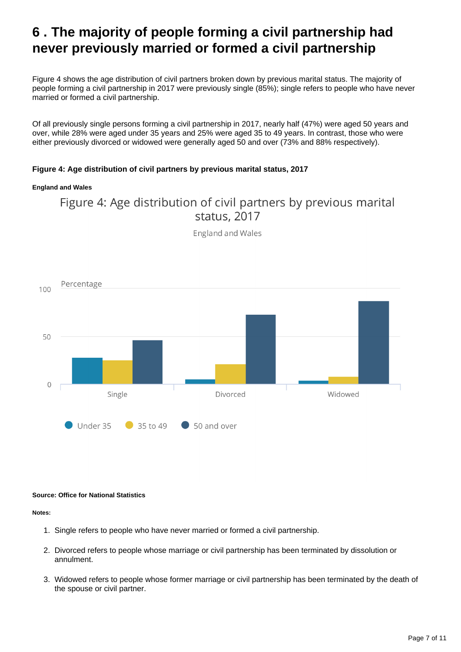# <span id="page-6-0"></span>**6 . The majority of people forming a civil partnership had never previously married or formed a civil partnership**

Figure 4 shows the age distribution of civil partners broken down by previous marital status. The majority of people forming a civil partnership in 2017 were previously single (85%); single refers to people who have never married or formed a civil partnership.

Of all previously single persons forming a civil partnership in 2017, nearly half (47%) were aged 50 years and over, while 28% were aged under 35 years and 25% were aged 35 to 49 years. In contrast, those who were either previously divorced or widowed were generally aged 50 and over (73% and 88% respectively).

### **Figure 4: Age distribution of civil partners by previous marital status, 2017**

#### **England and Wales**





**England and Wales** 

### **Source: Office for National Statistics**

**Notes:**

- 1. Single refers to people who have never married or formed a civil partnership.
- 2. Divorced refers to people whose marriage or civil partnership has been terminated by dissolution or annulment.
- 3. Widowed refers to people whose former marriage or civil partnership has been terminated by the death of the spouse or civil partner.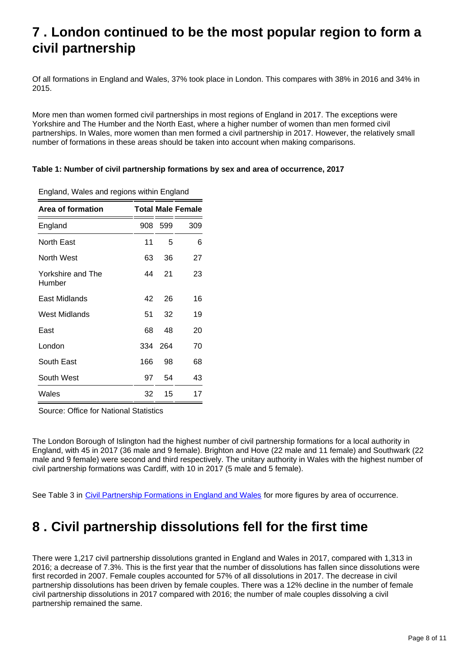# <span id="page-7-0"></span>**7 . London continued to be the most popular region to form a civil partnership**

Of all formations in England and Wales, 37% took place in London. This compares with 38% in 2016 and 34% in 2015.

More men than women formed civil partnerships in most regions of England in 2017. The exceptions were Yorkshire and The Humber and the North East, where a higher number of women than men formed civil partnerships. In Wales, more women than men formed a civil partnership in 2017. However, the relatively small number of formations in these areas should be taken into account when making comparisons.

### **Table 1: Number of civil partnership formations by sex and area of occurrence, 2017**

| Area of formation           |     |     | <b>Total Male Female</b> |
|-----------------------------|-----|-----|--------------------------|
| England                     | 908 | 599 | 309                      |
| North East                  | 11  | 5   | 6                        |
| North West                  | 63  | 36  | 27                       |
| Yorkshire and The<br>Humber | 44  | 21  | 23                       |
| East Midlands               | 42  | 26  | 16                       |
| West Midlands               | 51  | 32  | 19                       |
| East                        | 68  | 48  | 20                       |
| London                      | 334 | 264 | 70                       |
| South East                  | 166 | 98  | 68                       |
| South West                  | 97  | 54  | 43                       |
| Wales                       | 32  | 15  | 17                       |

England, Wales and regions within England

Source: Office for National Statistics

The London Borough of Islington had the highest number of civil partnership formations for a local authority in England, with 45 in 2017 (36 male and 9 female). Brighton and Hove (22 male and 11 female) and Southwark (22 male and 9 female) were second and third respectively. The unitary authority in Wales with the highest number of civil partnership formations was Cardiff, with 10 in 2017 (5 male and 5 female).

See Table 3 in [Civil Partnership Formations in England and Wales](https://www.ons.gov.uk/peoplepopulationandcommunity/birthsdeathsandmarriages/marriagecohabitationandcivilpartnerships/datasets/civilpartnershipstatisticsunitedkingdomcivilpartnershipformations) for more figures by area of occurrence.

# <span id="page-7-1"></span>**8 . Civil partnership dissolutions fell for the first time**

There were 1,217 civil partnership dissolutions granted in England and Wales in 2017, compared with 1,313 in 2016; a decrease of 7.3%. This is the first year that the number of dissolutions has fallen since dissolutions were first recorded in 2007. Female couples accounted for 57% of all dissolutions in 2017. The decrease in civil partnership dissolutions has been driven by female couples. There was a 12% decline in the number of female civil partnership dissolutions in 2017 compared with 2016; the number of male couples dissolving a civil partnership remained the same.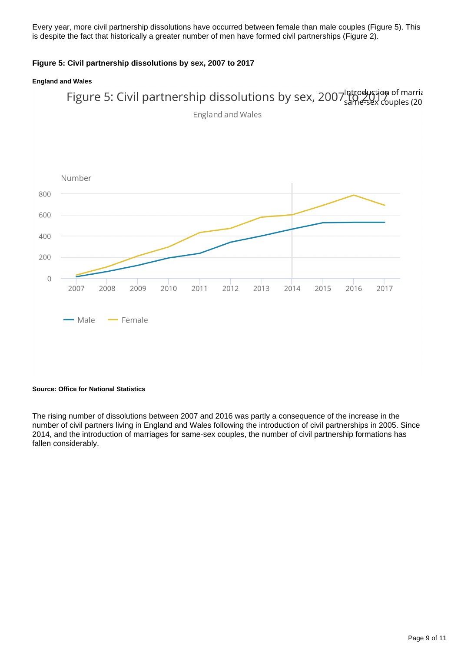Every year, more civil partnership dissolutions have occurred between female than male couples (Figure 5). This is despite the fact that historically a greater number of men have formed civil partnerships (Figure 2).

### **Figure 5: Civil partnership dissolutions by sex, 2007 to 2017**

#### **England and Wales**





#### **Source: Office for National Statistics**

The rising number of dissolutions between 2007 and 2016 was partly a consequence of the increase in the number of civil partners living in England and Wales following the introduction of civil partnerships in 2005. Since 2014, and the introduction of marriages for same-sex couples, the number of civil partnership formations has fallen considerably.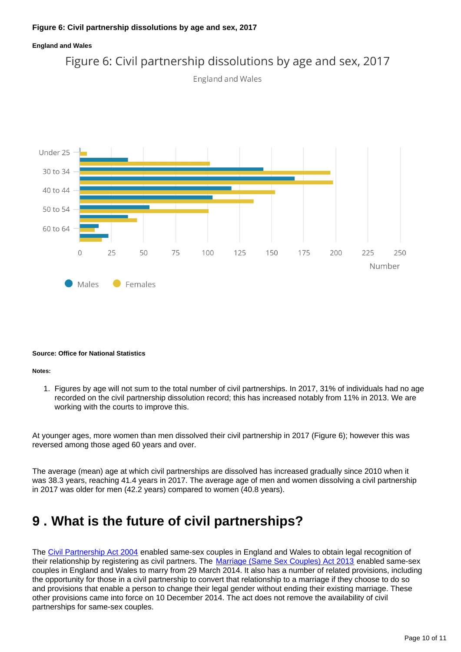### **Figure 6: Civil partnership dissolutions by age and sex, 2017**



#### **Source: Office for National Statistics**

#### **Notes:**

1. Figures by age will not sum to the total number of civil partnerships. In 2017, 31% of individuals had no age recorded on the civil partnership dissolution record; this has increased notably from 11% in 2013. We are working with the courts to improve this.

At younger ages, more women than men dissolved their civil partnership in 2017 (Figure 6); however this was reversed among those aged 60 years and over.

The average (mean) age at which civil partnerships are dissolved has increased gradually since 2010 when it was 38.3 years, reaching 41.4 years in 2017. The average age of men and women dissolving a civil partnership in 2017 was older for men (42.2 years) compared to women (40.8 years).

### <span id="page-9-0"></span>**9 . What is the future of civil partnerships?**

The [Civil Partnership Act 2004](http://www.legislation.gov.uk/ukpga/2004/33/contents) enabled same-sex couples in England and Wales to obtain legal recognition of their relationship by registering as civil partners. The [Marriage \(Same Sex Couples\) Act 2013](http://www.legislation.gov.uk/ukpga/2013/30/contents) enabled same-sex couples in England and Wales to marry from 29 March 2014. It also has a number of related provisions, including the opportunity for those in a civil partnership to convert that relationship to a marriage if they choose to do so and provisions that enable a person to change their legal gender without ending their existing marriage. These other provisions came into force on 10 December 2014. The act does not remove the availability of civil partnerships for same-sex couples.